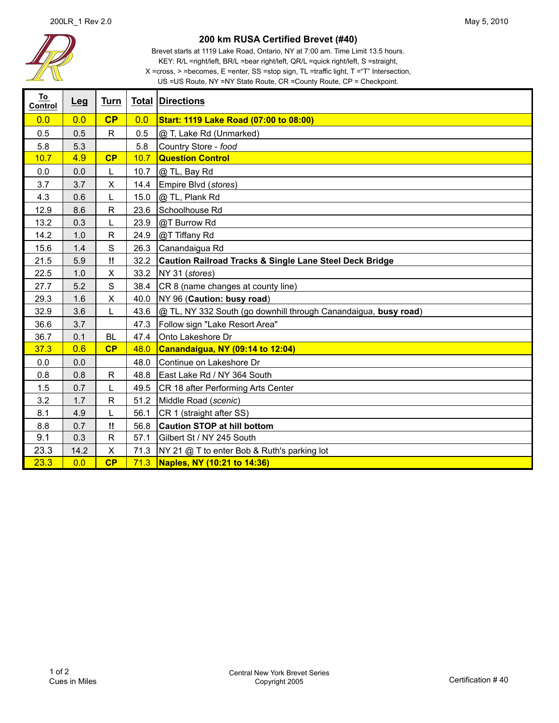

## **200 km RUSA Certified Brevet (#40)**

US =US Route, NY =NY State Route, CR =County Route, CP = Checkpoint. Brevet starts at 1119 Lake Road, Ontario, NY at 7:00 am. Time Limit 13.5 hours. KEY: R/L =right/left, BR/L =bear right/left, QR/L =quick right/left, S =straight,  $X = cross, > = becomes, E = enter, SS = stop sign, TL = traffic light, T = "T" Intersection,$ 

| To<br>Control | Leg  | Turn         |      | <b>Total Directions</b>                                            |
|---------------|------|--------------|------|--------------------------------------------------------------------|
| 0.0           | 0.0  | CP           | 0.0  | Start: 1119 Lake Road (07:00 to 08:00)                             |
| 0.5           | 0.5  | $\mathsf{R}$ | 0.5  | @ T, Lake Rd (Unmarked)                                            |
| 5.8           | 5.3  |              | 5.8  | Country Store - food                                               |
| 10.7          | 4.9  | CP           | 10.7 | <b>Question Control</b>                                            |
| 0.0           | 0.0  | L            | 10.7 | @ TL, Bay Rd                                                       |
| 3.7           | 3.7  | X            | 14.4 | Empire Blvd (stores)                                               |
| 4.3           | 0.6  | L            | 15.0 | @ TL, Plank Rd                                                     |
| 12.9          | 8.6  | $\mathsf{R}$ | 23.6 | Schoolhouse Rd                                                     |
| 13.2          | 0.3  |              | 23.9 | @T Burrow Rd                                                       |
| 14.2          | 1.0  | $\mathsf{R}$ | 24.9 | @T Tiffany Rd                                                      |
| 15.6          | 1.4  | S            | 26.3 | Canandaigua Rd                                                     |
| 21.5          | 5.9  | Π.           | 32.2 | <b>Caution Railroad Tracks &amp; Single Lane Steel Deck Bridge</b> |
| 22.5          | 1.0  | X            | 33.2 | NY 31 (stores)                                                     |
| 27.7          | 5.2  | S            | 38.4 | CR 8 (name changes at county line)                                 |
| 29.3          | 1.6  | X            | 40.0 | NY 96 (Caution: busy road)                                         |
| 32.9          | 3.6  | L            | 43.6 | @ TL, NY 332 South (go downhill through Canandaigua, busy road)    |
| 36.6          | 3.7  |              | 47.3 | Follow sign "Lake Resort Area"                                     |
| 36.7          | 0.1  | <b>BL</b>    | 47.4 | Onto Lakeshore Dr                                                  |
| 37.3          | 0.6  | CP           | 48.0 | Canandaigua, NY (09:14 to 12:04)                                   |
| 0.0           | 0.0  |              | 48.0 | Continue on Lakeshore Dr                                           |
| 0.8           | 0.8  | $\mathsf{R}$ | 48.8 | East Lake Rd / NY 364 South                                        |
| 1.5           | 0.7  | L            | 49.5 | CR 18 after Performing Arts Center                                 |
| 3.2           | 1.7  | $\mathsf{R}$ | 51.2 | Middle Road (scenic)                                               |
| 8.1           | 4.9  | L            | 56.1 | CR 1 (straight after SS)                                           |
| 8.8           | 0.7  | Ħ            | 56.8 | <b>Caution STOP at hill bottom</b>                                 |
| 9.1           | 0.3  | R            | 57.1 | Gilbert St / NY 245 South                                          |
| 23.3          | 14.2 | $\mathsf{X}$ | 71.3 | NY 21 @ T to enter Bob & Ruth's parking lot                        |
| 23.3          | 0.0  | CP           | 71.3 | Naples, NY (10:21 to 14:36)                                        |